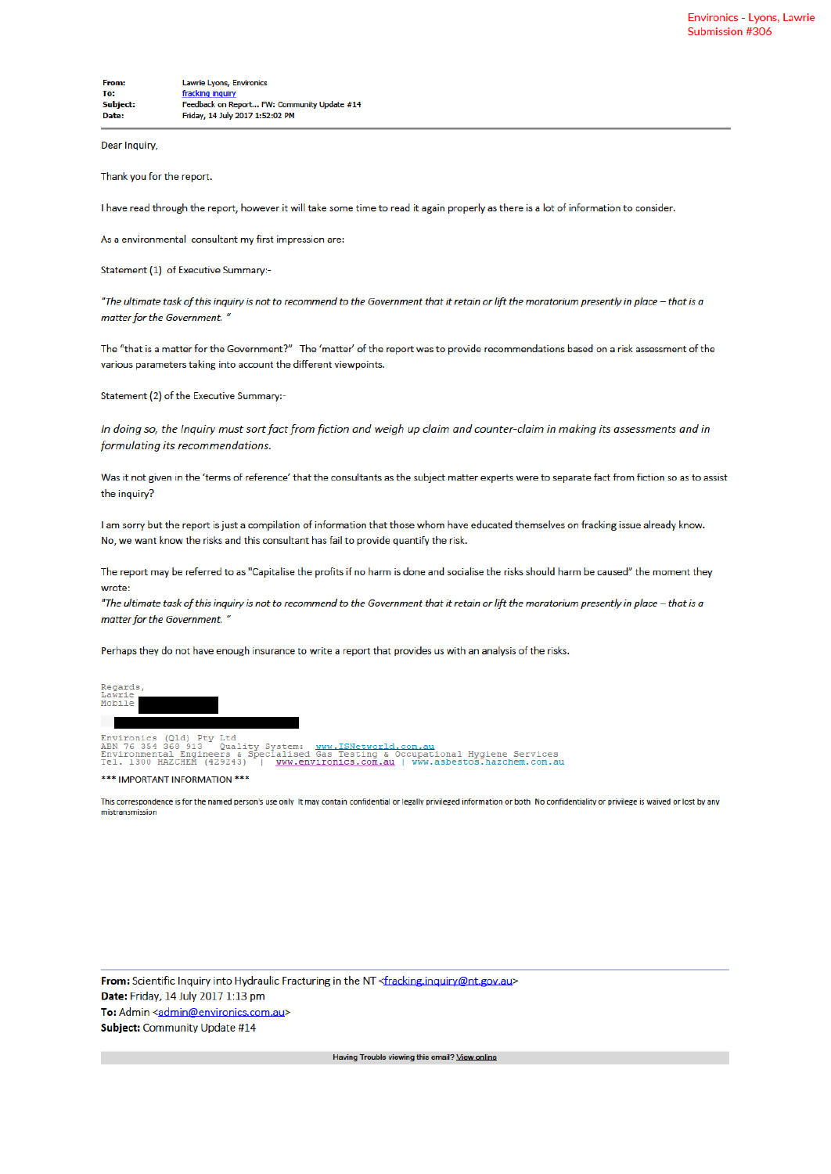Dear Inquiry,

Thank you for the report.

I have read through the report, however it will take some time to read it again properly as there is a lot of information to consider.

As a environmental consultant my first impression are:

Statement (1) of Executive Summary:-

"The ultimate task of this inquiry is not to recommend to the Government that it retain or lift the moratorium presently in place - that is a matter for the Government."

The "that is a matter for the Government?" The 'matter' of the report was to provide recommendations based on a risk assessment of the various parameters taking into account the different viewpoints.

Statement (2) of the Executive Summary:-

In doing so, the Inquiry must sort fact from fiction and weigh up claim and counter-claim in making its assessments and in formulating its recommendations.

Was it not given in the 'terms of reference' that the consultants as the subject matter experts were to separate fact from fiction so as to assist the inquiry?

I am sorry but the report is just a compilation of information that those whom have educated themselves on fracking issue already know. No, we want know the risks and this consultant has fail to provide quantify the risk.

The report may be referred to as "Capitalise the profits if no harm is done and socialise the risks should harm be caused" the moment they wrote:

"The ultimate task of this inquiry is not to recommend to the Government that it retain or lift the moratorium presently in place - that is a matter for the Government. "

Perhaps they do not have enough insurance to write a report that provides us with an analysis of the risks.

| Regards,<br>Lawrie.<br>Mobile                                                                                                                   |  |  |
|-------------------------------------------------------------------------------------------------------------------------------------------------|--|--|
|                                                                                                                                                 |  |  |
| Environics (Old) Ptv Ltd                                                                                                                        |  |  |
| ABN 76 354 368 913   Quality System: www.ISNetworld.com.au<br>Environmental Engineers & Specialised Gas Testing & Occupational Hygiene Services |  |  |
| Tel. 1300 HAZCHEM (429243)   www.environics.com.au   www.asbestos.hazchem.com.au                                                                |  |  |

This correspondence is for the named person's use only It may contain confidential or legally privileged information or both No confidentiality or privilege is waived or lost by any mistransmission

From: Scientific Inquiry into Hydraulic Fracturing in the NT <fracking.inquiry@nt.gov.au> Date: Friday, 14 July 2017 1:13 pm To: Admin <admin@environics.com.au> Subject: Community Update #14

<sup>\*\*\*</sup> IMPORTANT INFORMATION \*\*\*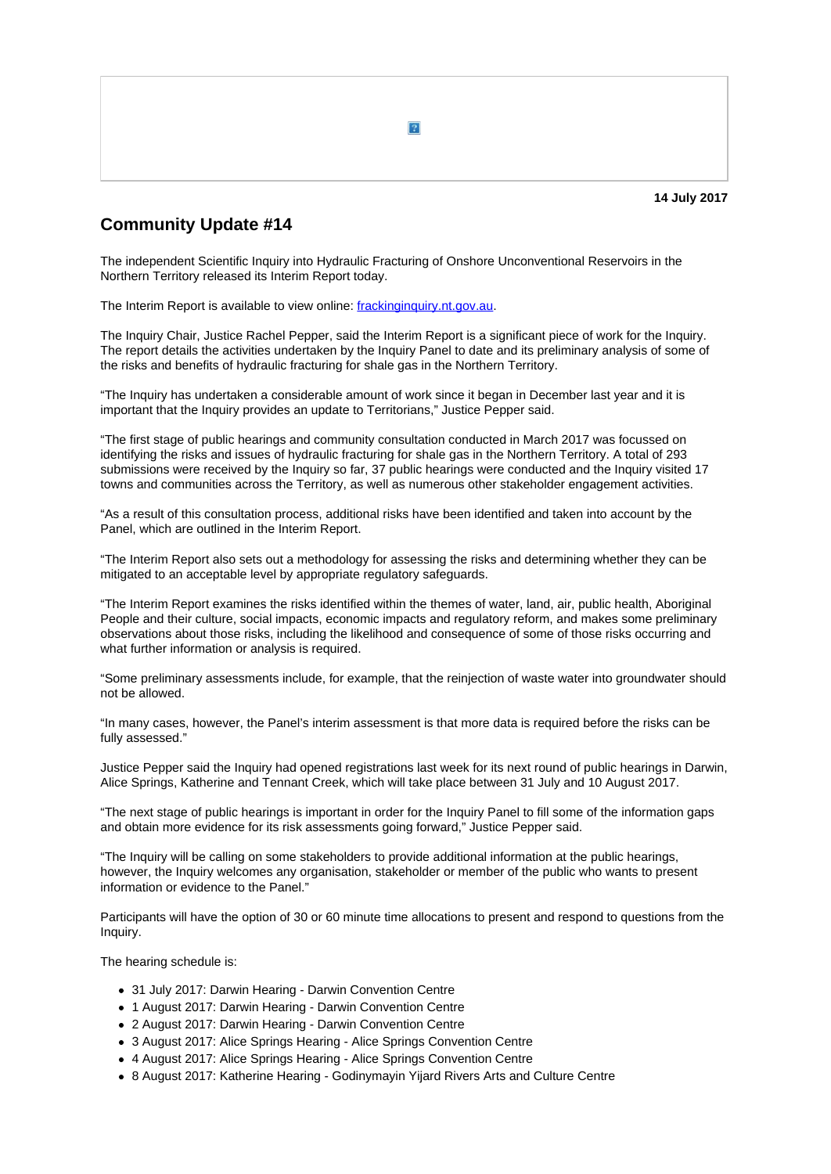

## **Community Update #14**

The independent Scientific Inquiry into Hydraulic Fracturing of Onshore Unconventional Reservoirs in the Northern Territory released its Interim Report today.

The Interim Report is available to view online: frackinginquiry.nt.gov.au.

The Inquiry Chair, Justice Rachel Pepper, said the Interim Report is a significant piece of work for the Inquiry. The report details the activities undertaken by the Inquiry Panel to date and its preliminary analysis of some of the risks and benefits of hydraulic fracturing for shale gas in the Northern Territory.

"The Inquiry has undertaken a considerable amount of work since it began in December last year and it is important that the Inquiry provides an update to Territorians," Justice Pepper said.

"The first stage of public hearings and community consultation conducted in March 2017 was focussed on identifying the risks and issues of hydraulic fracturing for shale gas in the Northern Territory. A total of 293 submissions were received by the Inquiry so far, 37 public hearings were conducted and the Inquiry visited 17 towns and communities across the Territory, as well as numerous other stakeholder engagement activities.

"As a result of this consultation process, additional risks have been identified and taken into account by the Panel, which are outlined in the Interim Report.

"The Interim Report also sets out a methodology for assessing the risks and determining whether they can be mitigated to an acceptable level by appropriate regulatory safeguards.

"The Interim Report examines the risks identified within the themes of water, land, air, public health, Aboriginal People and their culture, social impacts, economic impacts and regulatory reform, and makes some preliminary observations about those risks, including the likelihood and consequence of some of those risks occurring and what further information or analysis is required.

"Some preliminary assessments include, for example, that the reinjection of waste water into groundwater should not be allowed.

"In many cases, however, the Panel's interim assessment is that more data is required before the risks can be fully assessed."

Justice Pepper said the Inquiry had opened registrations last week for its next round of public hearings in Darwin, Alice Springs, Katherine and Tennant Creek, which will take place between 31 July and 10 August 2017.

"The next stage of public hearings is important in order for the Inquiry Panel to fill some of the information gaps and obtain more evidence for its risk assessments going forward," Justice Pepper said.

"The Inquiry will be calling on some stakeholders to provide additional information at the public hearings, however, the Inquiry welcomes any organisation, stakeholder or member of the public who wants to present information or evidence to the Panel."

Participants will have the option of 30 or 60 minute time allocations to present and respond to questions from the Inquiry.

The hearing schedule is:

- 31 July 2017: Darwin Hearing Darwin Convention Centre
- 1 August 2017: Darwin Hearing Darwin Convention Centre
- 2 August 2017: Darwin Hearing Darwin Convention Centre
- 3 August 2017: Alice Springs Hearing Alice Springs Convention Centre
- 4 August 2017: Alice Springs Hearing Alice Springs Convention Centre
- 8 August 2017: Katherine Hearing Godinymayin Yijard Rivers Arts and Culture Centre